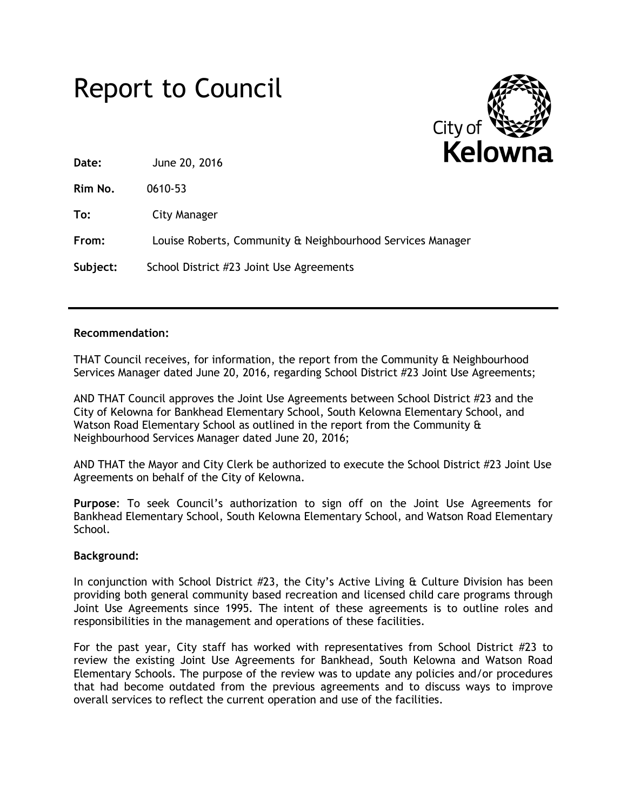## Report to Council



**Date:** June 20, 2016

**Rim No.** 0610-53

**To:** City Manager

**From:** Louise Roberts, Community & Neighbourhood Services Manager

**Subject:** School District #23 Joint Use Agreements

## **Recommendation:**

THAT Council receives, for information, the report from the Community & Neighbourhood Services Manager dated June 20, 2016, regarding School District #23 Joint Use Agreements;

AND THAT Council approves the Joint Use Agreements between School District #23 and the City of Kelowna for Bankhead Elementary School, South Kelowna Elementary School, and Watson Road Elementary School as outlined in the report from the Community & Neighbourhood Services Manager dated June 20, 2016;

AND THAT the Mayor and City Clerk be authorized to execute the School District #23 Joint Use Agreements on behalf of the City of Kelowna.

**Purpose**: To seek Council's authorization to sign off on the Joint Use Agreements for Bankhead Elementary School, South Kelowna Elementary School, and Watson Road Elementary School.

## **Background:**

In conjunction with School District  $#23$ , the City's Active Living  $\alpha$  Culture Division has been providing both general community based recreation and licensed child care programs through Joint Use Agreements since 1995. The intent of these agreements is to outline roles and responsibilities in the management and operations of these facilities.

For the past year, City staff has worked with representatives from School District #23 to review the existing Joint Use Agreements for Bankhead, South Kelowna and Watson Road Elementary Schools. The purpose of the review was to update any policies and/or procedures that had become outdated from the previous agreements and to discuss ways to improve overall services to reflect the current operation and use of the facilities.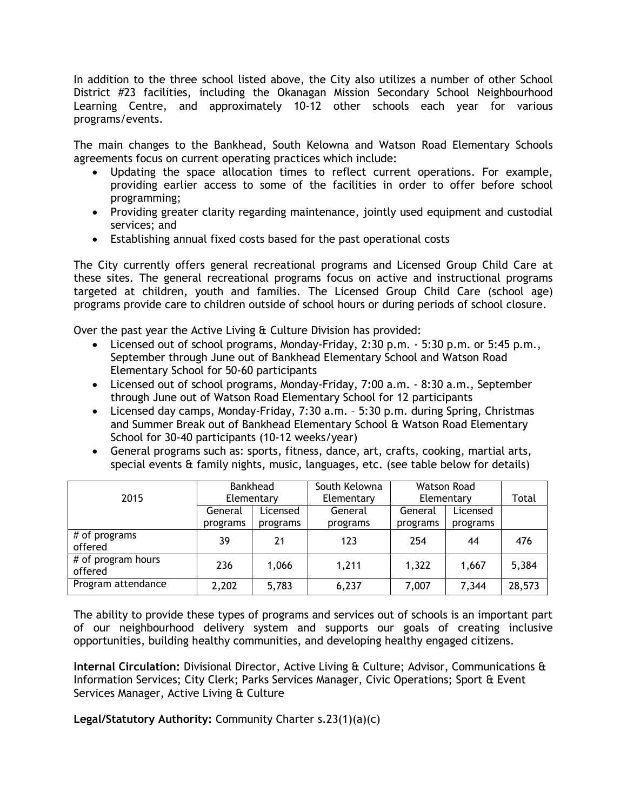In addition to the three school listed above, the City also utilizes a number of other School District #23 facilities, including the Okanagan Mission Secondary School Neighbourhood Learning Centre, and approximately 10-12 other schools each year for various programs/events.

The main changes to the Bankhead, South Kelowna and Watson Road Elementary Schools agreements focus on current operating practices which include:

- Updating the space allocation times to reflect current operations. For example, providing earlier access to some of the facilities in order to offer before school programming;
- Providing greater clarity regarding maintenance, jointly used equipment and custodial services; and
- Establishing annual fixed costs based for the past operational costs

The City currently offers general recreational programs and Licensed Group Child Care at these sites. The general recreational programs focus on active and instructional programs targeted at children, youth and families. The Licensed Group Child Care (school age) programs provide care to children outside of school hours or during periods of school closure.

Over the past year the Active Living & Culture Division has provided:

- Licensed out of school programs, Monday-Friday, 2:30 p.m. 5:30 p.m. or 5:45 p.m., September through June out of Bankhead Elementary School and Watson Road Elementary School for 50-60 participants
- Licensed out of school programs, Monday-Friday, 7:00 a.m. 8:30 a.m., September through June out of Watson Road Elementary School for 12 participants
- Licensed day camps, Monday-Friday, 7:30 a.m. 5:30 p.m. during Spring, Christmas and Summer Break out of Bankhead Elementary School & Watson Road Elementary School for 30-40 participants (10-12 weeks/year)
- General programs such as: sports, fitness, dance, art, crafts, cooking, martial arts, special events & family nights, music, languages, etc. (see table below for details)

|                               | <b>Bankhead</b> |          | South Kelowna | <b>Watson Road</b> |          |        |
|-------------------------------|-----------------|----------|---------------|--------------------|----------|--------|
| 2015                          | Elementary      |          | Elementary    | Elementary         |          | Total  |
|                               | General         | Licensed | General       | General            | Licensed |        |
|                               | programs        | programs | programs      | programs           | programs |        |
| # of programs<br>offered      | 39              | 21       | 123           | 254                | 44       | 476    |
| # of program hours<br>offered | 236             | 1,066    | 1,211         | 1,322              | 1,667    | 5,384  |
| Program attendance            | 2,202           | 5,783    | 6,237         | 7,007              | 7,344    | 28,573 |

The ability to provide these types of programs and services out of schools is an important part of our neighbourhood delivery system and supports our goals of creating inclusive opportunities, building healthy communities, and developing healthy engaged citizens.

**Internal Circulation:** Divisional Director, Active Living & Culture; Advisor, Communications & Information Services; City Clerk; Parks Services Manager, Civic Operations; Sport & Event Services Manager, Active Living & Culture

**Legal/Statutory Authority:** Community Charter s.23(1)(a)(c)